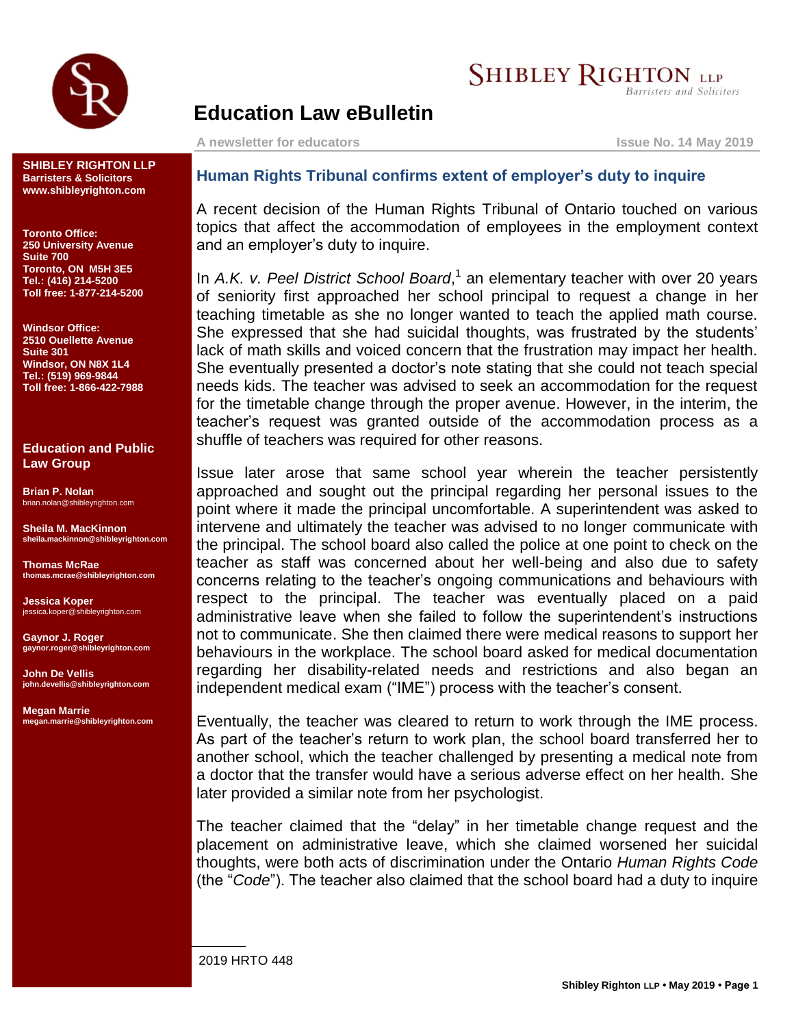

## **SHIBLEY RIGHTON LLP**

Barristers and Solicitors

## **Education Law eBulletin**

**A newsletter for educators Issue No. 14 May 2019**

**SHIBLEY RIGHTON LLP Barristers & Solicitors www.shibleyrighton.com**

**Toronto Office: 250 University Avenue Suite 700 Toronto, ON M5H 3E5 Tel.: (416) 214-5200 Toll free: 1-877-214-5200**

**Windsor Office: 2510 Ouellette Avenue Suite 301 Windsor, ON N8X 1L4 Tel.: (519) 969-9844 Toll free: 1-866-422-7988**

**Education and Public Law Group**

**Brian P. Nolan** brian.nolan@shibleyrighton.com

**Sheila M. MacKinnon sheila.mackinnon@shibleyrighton.com**

**Thomas McRae thomas.mcrae@shibleyrighton.com**

**Jessica Koper** jessica.koper@shibleyrighton.com

**Gaynor J. Roger gaynor.roger@shibleyrighton.com**

**John De Vellis john.devellis@shibleyrighton.com**

**Megan Marrie megan.marrie@shibleyrighton.com**

## **Human Rights Tribunal confirms extent of employer's duty to inquire**

A recent decision of the Human Rights Tribunal of Ontario touched on various topics that affect the accommodation of employees in the employment context and an employer's duty to inquire.

In A.K. v. Peel District School Board,<sup>1</sup> an elementary teacher with over 20 years of seniority first approached her school principal to request a change in her teaching timetable as she no longer wanted to teach the applied math course. She expressed that she had suicidal thoughts, was frustrated by the students' lack of math skills and voiced concern that the frustration may impact her health. She eventually presented a doctor's note stating that she could not teach special needs kids. The teacher was advised to seek an accommodation for the request for the timetable change through the proper avenue. However, in the interim, the teacher's request was granted outside of the accommodation process as a shuffle of teachers was required for other reasons.

Issue later arose that same school year wherein the teacher persistently approached and sought out the principal regarding her personal issues to the point where it made the principal uncomfortable. A superintendent was asked to intervene and ultimately the teacher was advised to no longer communicate with the principal. The school board also called the police at one point to check on the teacher as staff was concerned about her well-being and also due to safety concerns relating to the teacher's ongoing communications and behaviours with respect to the principal. The teacher was eventually placed on a paid administrative leave when she failed to follow the superintendent's instructions not to communicate. She then claimed there were medical reasons to support her behaviours in the workplace. The school board asked for medical documentation regarding her disability-related needs and restrictions and also began an independent medical exam ("IME") process with the teacher's consent.

Eventually, the teacher was cleared to return to work through the IME process. As part of the teacher's return to work plan, the school board transferred her to another school, which the teacher challenged by presenting a medical note from a doctor that the transfer would have a serious adverse effect on her health. She later provided a similar note from her psychologist.

The teacher claimed that the "delay" in her timetable change request and the placement on administrative leave, which she claimed worsened her suicidal thoughts, were both acts of discrimination under the Ontario *Human Rights Code* (the "*Code*"). The teacher also claimed that the school board had a duty to inquire

2019 HRTO 448